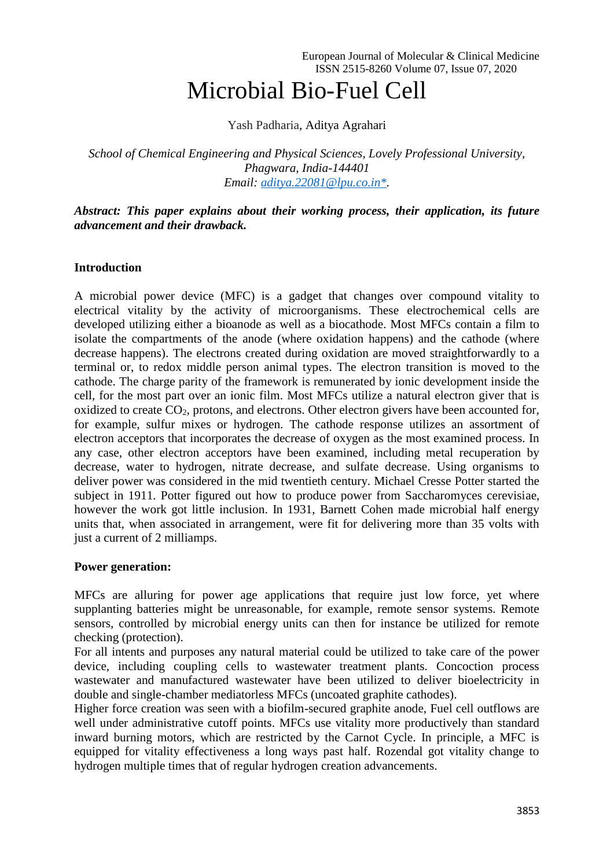# Microbial Bio-Fuel Cell

Yash Padharia, Aditya Agrahari

*School of Chemical Engineering and Physical Sciences, Lovely Professional University, Phagwara, India-144401 Email: [aditya.22081@lpu.co.in\\*.](mailto:aditya.22081@lpu.co.in*)*

## *Abstract: This paper explains about their working process, their application, its future advancement and their drawback.*

# **Introduction**

A microbial power device (MFC) is a gadget that changes over compound vitality to electrical vitality by the activity of microorganisms. These electrochemical cells are developed utilizing either a bioanode as well as a biocathode. Most MFCs contain a film to isolate the compartments of the anode (where oxidation happens) and the cathode (where decrease happens). The electrons created during oxidation are moved straightforwardly to a terminal or, to redox middle person animal types. The electron transition is moved to the cathode. The charge parity of the framework is remunerated by ionic development inside the cell, for the most part over an ionic film. Most MFCs utilize a natural electron giver that is oxidized to create  $CO<sub>2</sub>$ , protons, and electrons. Other electron givers have been accounted for, for example, sulfur mixes or hydrogen. The cathode response utilizes an assortment of electron acceptors that incorporates the decrease of oxygen as the most examined process. In any case, other electron acceptors have been examined, including metal recuperation by decrease, water to hydrogen, nitrate decrease, and sulfate decrease. Using organisms to deliver power was considered in the mid twentieth century. Michael Cresse Potter started the subject in 1911. Potter figured out how to produce power from Saccharomyces cerevisiae, however the work got little inclusion. In 1931, Barnett Cohen made microbial half energy units that, when associated in arrangement, were fit for delivering more than 35 volts with just a current of 2 milliamps.

## **Power generation:**

MFCs are alluring for power age applications that require just low force, yet where supplanting batteries might be unreasonable, for example, remote sensor systems. Remote sensors, controlled by microbial energy units can then for instance be utilized for remote checking (protection).

For all intents and purposes any natural material could be utilized to take care of the power device, including coupling cells to wastewater treatment plants. Concoction process wastewater and manufactured wastewater have been utilized to deliver bioelectricity in double and single-chamber mediatorless MFCs (uncoated graphite cathodes).

Higher force creation was seen with a biofilm-secured graphite anode, Fuel cell outflows are well under administrative cutoff points. MFCs use vitality more productively than standard inward burning motors, which are restricted by the Carnot Cycle. In principle, a MFC is equipped for vitality effectiveness a long ways past half. Rozendal got vitality change to hydrogen multiple times that of regular hydrogen creation advancements.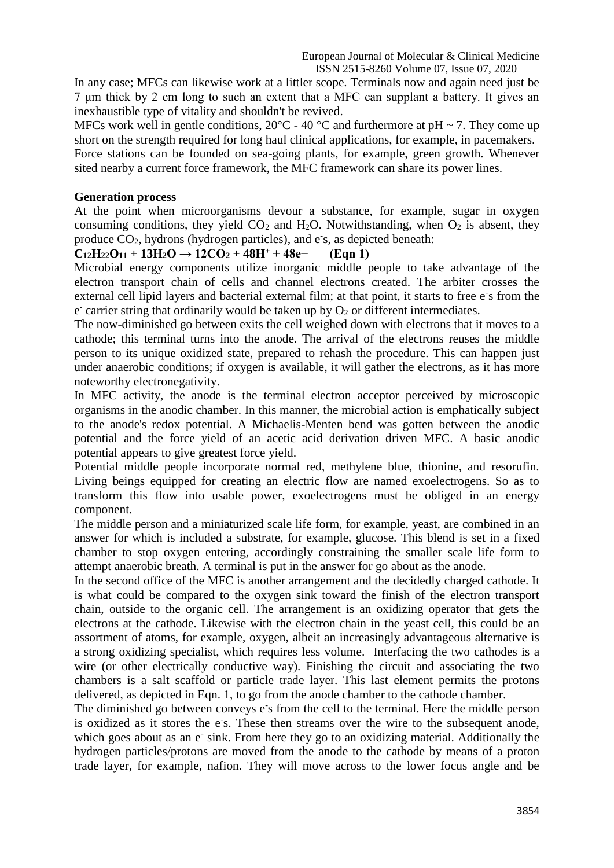In any case; MFCs can likewise work at a littler scope. Terminals now and again need just be 7 μm thick by 2 cm long to such an extent that a MFC can supplant a battery. It gives an inexhaustible type of vitality and shouldn't be revived.

MFCs work well in gentle conditions,  $20^{\circ}$ C - 40  $^{\circ}$ C and furthermore at pH ~ 7. They come up short on the strength required for long haul clinical applications, for example, in pacemakers. Force stations can be founded on sea-going plants, for example, green growth. Whenever sited nearby a current force framework, the MFC framework can share its power lines.

## **Generation process**

At the point when microorganisms devour a substance, for example, sugar in oxygen consuming conditions, they yield  $CO<sub>2</sub>$  and  $H<sub>2</sub>O$ . Notwithstanding, when  $O<sub>2</sub>$  is absent, they produce CO<sub>2</sub>, hydrons (hydrogen particles), and e<sup>-</sup>s, as depicted beneath:

# $C_{12}H_{22}O_{11} + 13H_{2}O \rightarrow 12CO_{2} + 48H^{+} + 48e^{-}$  (Eqn 1)

Microbial energy components utilize inorganic middle people to take advantage of the electron transport chain of cells and channel electrons created. The arbiter crosses the external cell lipid layers and bacterial external film; at that point, it starts to free e's from the  $e^{\frac{1}{2}}$  carrier string that ordinarily would be taken up by  $O_2$  or different intermediates.

The now-diminished go between exits the cell weighed down with electrons that it moves to a cathode; this terminal turns into the anode. The arrival of the electrons reuses the middle person to its unique oxidized state, prepared to rehash the procedure. This can happen just under anaerobic conditions; if oxygen is available, it will gather the electrons, as it has more noteworthy electronegativity.

In MFC activity, the anode is the terminal electron acceptor perceived by microscopic organisms in the anodic chamber. In this manner, the microbial action is emphatically subject to the anode's redox potential. A Michaelis-Menten bend was gotten between the anodic potential and the force yield of an acetic acid derivation driven MFC. A basic anodic potential appears to give greatest force yield.

Potential middle people incorporate normal red, methylene blue, thionine, and resorufin. Living beings equipped for creating an electric flow are named exoelectrogens. So as to transform this flow into usable power, exoelectrogens must be obliged in an energy component.

The middle person and a miniaturized scale life form, for example, yeast, are combined in an answer for which is included a substrate, for example, glucose. This blend is set in a fixed chamber to stop oxygen entering, accordingly constraining the smaller scale life form to attempt anaerobic breath. A terminal is put in the answer for go about as the anode.

In the second office of the MFC is another arrangement and the decidedly charged cathode. It is what could be compared to the oxygen sink toward the finish of the electron transport chain, outside to the organic cell. The arrangement is an oxidizing operator that gets the electrons at the cathode. Likewise with the electron chain in the yeast cell, this could be an assortment of atoms, for example, oxygen, albeit an increasingly advantageous alternative is a strong oxidizing specialist, which requires less volume. Interfacing the two cathodes is a wire (or other electrically conductive way). Finishing the circuit and associating the two chambers is a salt scaffold or particle trade layer. This last element permits the protons delivered, as depicted in Eqn. 1, to go from the anode chamber to the cathode chamber.

The diminished go between conveys e's from the cell to the terminal. Here the middle person is oxidized as it stores the e<sup>-</sup>s. These then streams over the wire to the subsequent anode, which goes about as an e<sup>-</sup> sink. From here they go to an oxidizing material. Additionally the hydrogen particles/protons are moved from the anode to the cathode by means of a proton trade layer, for example, nafion. They will move across to the lower focus angle and be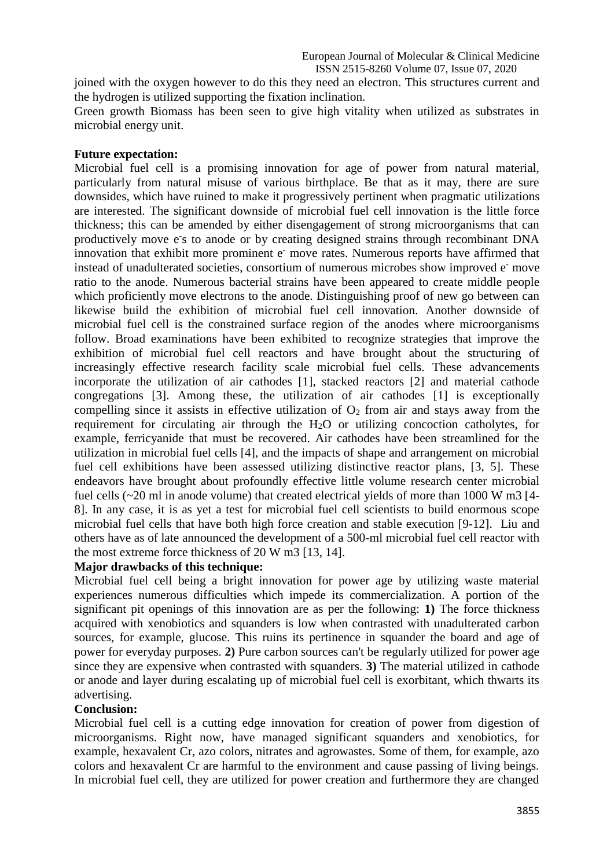joined with the oxygen however to do this they need an electron. This structures current and the hydrogen is utilized supporting the fixation inclination.

Green growth Biomass has been seen to give high vitality when utilized as substrates in microbial energy unit.

## **Future expectation:**

Microbial fuel cell is a promising innovation for age of power from natural material, particularly from natural misuse of various birthplace. Be that as it may, there are sure downsides, which have ruined to make it progressively pertinent when pragmatic utilizations are interested. The significant downside of microbial fuel cell innovation is the little force thickness; this can be amended by either disengagement of strong microorganisms that can productively move e's to anode or by creating designed strains through recombinant DNA innovation that exhibit more prominent e<sup>-</sup> move rates. Numerous reports have affirmed that instead of unadulterated societies, consortium of numerous microbes show improved e<sup>-</sup> move ratio to the anode. Numerous bacterial strains have been appeared to create middle people which proficiently move electrons to the anode. Distinguishing proof of new go between can likewise build the exhibition of microbial fuel cell innovation. Another downside of microbial fuel cell is the constrained surface region of the anodes where microorganisms follow. Broad examinations have been exhibited to recognize strategies that improve the exhibition of microbial fuel cell reactors and have brought about the structuring of increasingly effective research facility scale microbial fuel cells. These advancements incorporate the utilization of air cathodes [1], stacked reactors [2] and material cathode congregations [3]. Among these, the utilization of air cathodes [1] is exceptionally compelling since it assists in effective utilization of  $O<sub>2</sub>$  from air and stays away from the requirement for circulating air through the  $H<sub>2</sub>O$  or utilizing concoction catholytes, for example, ferricyanide that must be recovered. Air cathodes have been streamlined for the utilization in microbial fuel cells [4], and the impacts of shape and arrangement on microbial fuel cell exhibitions have been assessed utilizing distinctive reactor plans, [3, 5]. These endeavors have brought about profoundly effective little volume research center microbial fuel cells (~20 ml in anode volume) that created electrical yields of more than 1000 W m3 [4- 8]. In any case, it is as yet a test for microbial fuel cell scientists to build enormous scope microbial fuel cells that have both high force creation and stable execution [9-12]. Liu and others have as of late announced the development of a 500-ml microbial fuel cell reactor with the most extreme force thickness of 20 W m3 [13, 14].

## **Major drawbacks of this technique:**

Microbial fuel cell being a bright innovation for power age by utilizing waste material experiences numerous difficulties which impede its commercialization. A portion of the significant pit openings of this innovation are as per the following: **1)** The force thickness acquired with xenobiotics and squanders is low when contrasted with unadulterated carbon sources, for example, glucose. This ruins its pertinence in squander the board and age of power for everyday purposes. **2)** Pure carbon sources can't be regularly utilized for power age since they are expensive when contrasted with squanders. **3)** The material utilized in cathode or anode and layer during escalating up of microbial fuel cell is exorbitant, which thwarts its advertising.

#### **Conclusion:**

Microbial fuel cell is a cutting edge innovation for creation of power from digestion of microorganisms. Right now, have managed significant squanders and xenobiotics, for example, hexavalent Cr, azo colors, nitrates and agrowastes. Some of them, for example, azo colors and hexavalent Cr are harmful to the environment and cause passing of living beings. In microbial fuel cell, they are utilized for power creation and furthermore they are changed